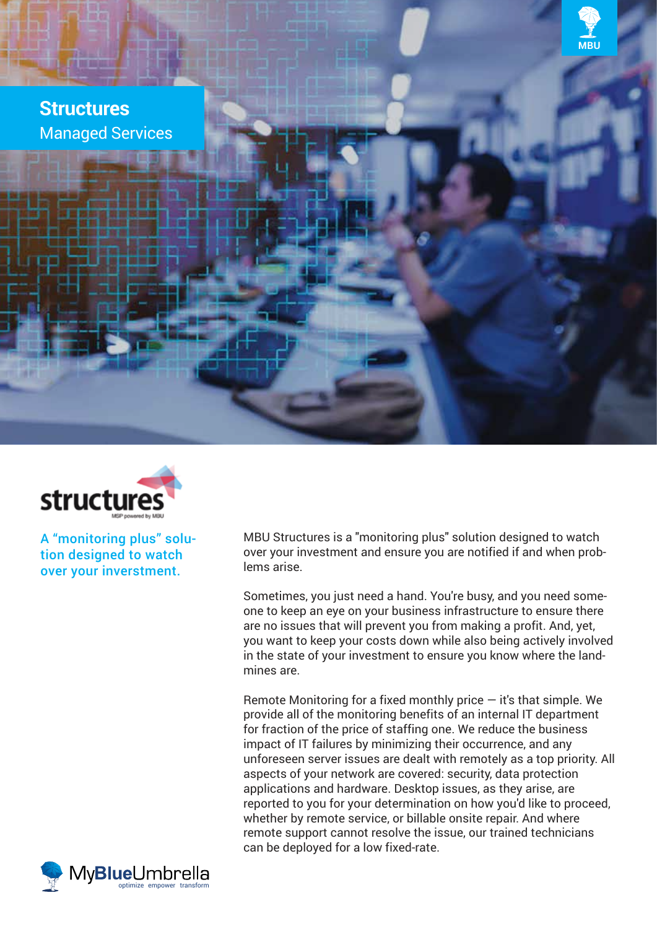

# **Structures** Managed Services



A "monitoring plus" solution designed to watch over your inverstment.

MBU Structures is a "monitoring plus" solution designed to watch over your investment and ensure you are notified if and when problems arise.

Sometimes, you just need a hand. You're busy, and you need someone to keep an eye on your business infrastructure to ensure there are no issues that will prevent you from making a profit. And, yet, you want to keep your costs down while also being actively involved in the state of your investment to ensure you know where the landmines are.

Remote Monitoring for a fixed monthly price  $-$  it's that simple. We provide all of the monitoring benefits of an internal IT department for fraction of the price of staffing one. We reduce the business impact of IT failures by minimizing their occurrence, and any unforeseen server issues are dealt with remotely as a top priority. All aspects of your network are covered: security, data protection applications and hardware. Desktop issues, as they arise, are reported to you for your determination on how you'd like to proceed, whether by remote service, or billable onsite repair. And where remote support cannot resolve the issue, our trained technicians can be deployed for a low fixed-rate.

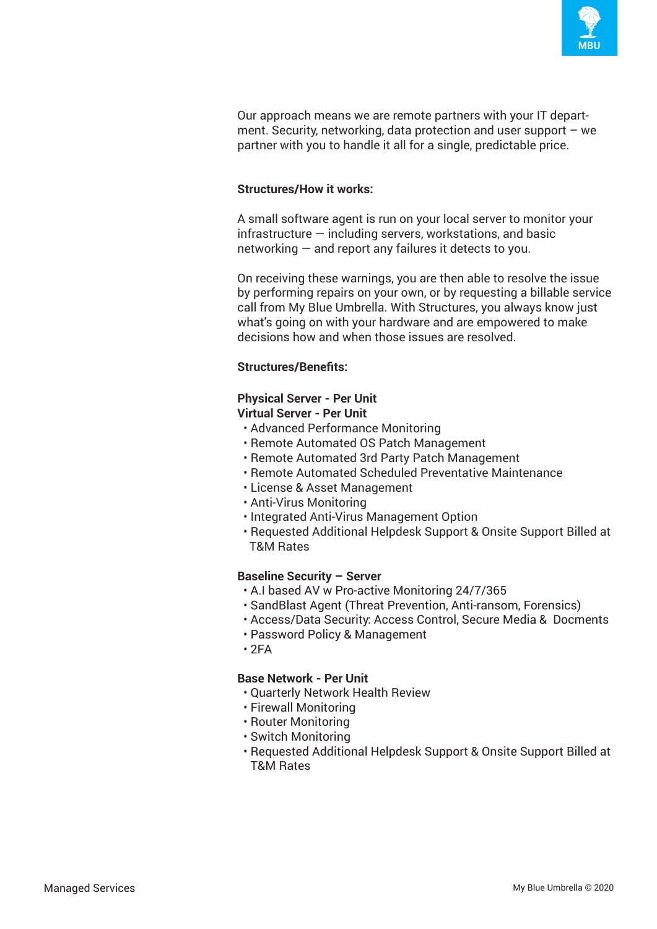

Our approach means we are remote partners with your IT department. Security, networking, data protection and user support  $-$  we partner with you to handle it all for a single, predictable price.

### **Structures/How it works:**

A small software agent is run on your local server to monitor your  $infrastructure - including servers, work stations, and basic$ networking — and report any failures it detects to you.

On receiving these warnings, you are then able to resolve the issue by performing repairs on your own, or by requesting a billable service call from My Blue Umbrella. With Structures, you always know just what's going on with your hardware and are empowered to make decisions how and when those issues are resolved.

# **Structures/Benefits:**

#### **Physical Server - Per Unit Virtual Server - Per Unit**

- Advanced Performance Monitoring
- Remote Automated OS Patch Management
- Remote Automated 3rd Party Patch Management
- Remote Automated Scheduled Preventative Maintenance
- License & Asset Management
- Anti-Virus Monitoring
- Integrated Anti-Virus Management Option
- Requested Additional Helpdesk Support & Onsite Support Billed at T&M Rates

#### **Baseline Security – Server**

- A.I based AV w Pro-active Monitoring 24/7/365
- SandBlast Agent (Threat Prevention, Anti-ransom, Forensics)
- Access/Data Security: Access Control, Secure Media & Docments
- Password Policy & Management
- $2FA$

#### **Base Network - Per Unit**

- Quarterly Network Health Review
- Firewall Monitoring
- Router Monitoring
- Switch Monitoring
- Requested Additional Helpdesk Support & Onsite Support Billed at T&M Rates